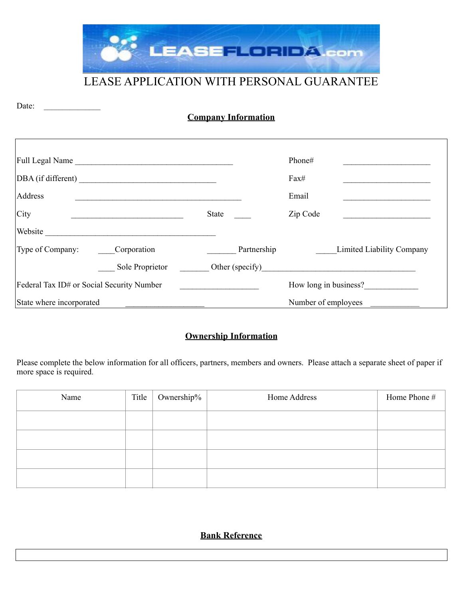

# LEASE APPLICATION WITH PERSONAL GUARANTEE

| <b>Company Information</b> |
|----------------------------|
|                            |

Date: \_\_\_\_\_\_\_\_\_\_\_\_\_\_\_

|                                           | Full Legal Name    |              | Phone#              |                           |
|-------------------------------------------|--------------------|--------------|---------------------|---------------------------|
|                                           | DBA (if different) |              | Fax#                |                           |
| Address                                   |                    |              | Email               |                           |
| City                                      |                    | <b>State</b> | Zip Code            |                           |
| Website                                   |                    |              |                     |                           |
| Type of Company:                          | Corporation        | Partnership  |                     | Limited Liability Company |
|                                           | Sole Proprietor    |              |                     |                           |
| Federal Tax ID# or Social Security Number |                    |              |                     | How long in business?     |
| State where incorporated                  |                    |              | Number of employees |                           |

## **Ownership Information**

Please complete the below information for all officers, partners, members and owners. Please attach a separate sheet of paper if more space is required.

| Name | Title | Ownership% | Home Address | Home Phone # |
|------|-------|------------|--------------|--------------|
|      |       |            |              |              |
|      |       |            |              |              |
|      |       |            |              |              |
|      |       |            |              |              |

**Bank Reference**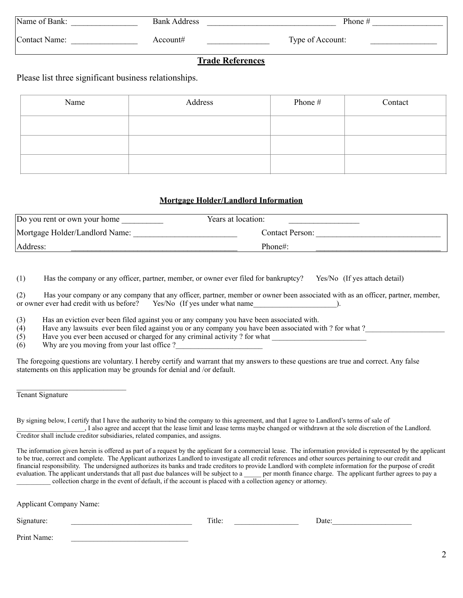| Name of Bank: | <b>Bank Address</b> | Phone $#$        |
|---------------|---------------------|------------------|
| Contact Name: | Account#            | Type of Account: |

## **Trade References**

Please list three significant business relationships.

| Name | Address | Phone # | Contact |
|------|---------|---------|---------|
|      |         |         |         |
|      |         |         |         |
|      |         |         |         |

#### **Mortgage Holder/Landlord Information**

| Do you rent or own your home   | Years at location: |
|--------------------------------|--------------------|
| Mortgage Holder/Landlord Name: | Contact Person:    |
| Address:                       | Phone#:            |

(1) Has the company or any officer, partner, member, or owner ever filed for bankruptcy? Yes/No (If yes attach detail)

(2) Has your company or any company that any officer, partner, member or owner been associated with as an officer, partner, member, or owner ever had credit with us before? Yes/No (If yes under what name ).

(3) Has an eviction ever been filed against you or any company you have been associated with.

 $(4)$  Have any lawsuits ever been filed against you or any company you have been associated with ? for what ?

 $(5)$  Have you ever been accused or charged for any criminal activity ? for what

 $(6)$  Why are you moving from your last office ?

The foregoing questions are voluntary. I hereby certify and warrant that my answers to these questions are true and correct. Any false statements on this application may be grounds for denial and /or default.

Tenant Signature

By signing below, I certify that I have the authority to bind the company to this agreement, and that I agree to Landlord's terms of sale of \_\_\_\_\_\_\_\_\_\_\_\_\_\_\_\_\_\_\_\_, I also agree and accept that the lease limit and lease terms maybe changed or withdrawn at the sole discretion of the Landlord. Creditor shall include creditor subsidiaries, related companies, and assigns.

The information given herein is offered as part of a request by the applicant for a commercial lease. The information provided is represented by the applicant to be true, correct and complete. The Applicant authorizes Landlord to investigate all credit references and other sources pertaining to our credit and financial responsibility. The undersigned authorizes its banks and trade creditors to provide Landlord with complete information for the purpose of credit evaluation. The applicant understands that all past due balances will be subject to a quality per month finance charge. The applicant further agrees to pay a \_\_\_\_\_\_\_\_\_\_ collection charge in the event of default, if the account is placed with a collection agency or attorney.

Applicant Company Name:

| $\sim$ $\cdot$<br>$\sim$<br>.<br>Jate<br>טור<br>,,,<br><br>$- - - - -$<br>- ---- |
|----------------------------------------------------------------------------------|
|----------------------------------------------------------------------------------|

Print Name: